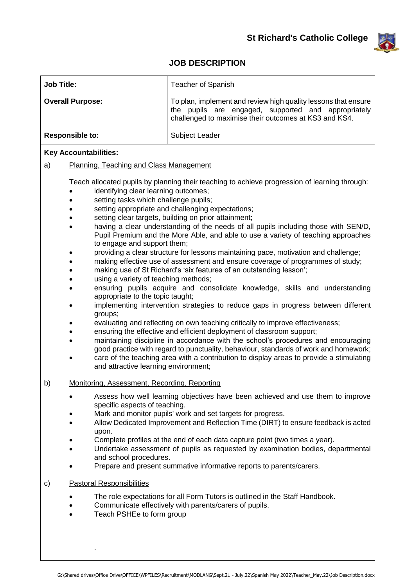

## **JOB DESCRIPTION**

| <b>Job Title:</b>                                                                                                                                                                                                                           | Teacher of Spanish                                                                                                                                                                                                                                                                                                                                                                                                                                                                                                                                                                                                                                                                                                                                                                                                                                                                                                                                                                                                                                                                                                                                                                                                                            |
|---------------------------------------------------------------------------------------------------------------------------------------------------------------------------------------------------------------------------------------------|-----------------------------------------------------------------------------------------------------------------------------------------------------------------------------------------------------------------------------------------------------------------------------------------------------------------------------------------------------------------------------------------------------------------------------------------------------------------------------------------------------------------------------------------------------------------------------------------------------------------------------------------------------------------------------------------------------------------------------------------------------------------------------------------------------------------------------------------------------------------------------------------------------------------------------------------------------------------------------------------------------------------------------------------------------------------------------------------------------------------------------------------------------------------------------------------------------------------------------------------------|
| <b>Overall Purpose:</b>                                                                                                                                                                                                                     | To plan, implement and review high quality lessons that ensure<br>the pupils are engaged, supported and appropriately<br>challenged to maximise their outcomes at KS3 and KS4.                                                                                                                                                                                                                                                                                                                                                                                                                                                                                                                                                                                                                                                                                                                                                                                                                                                                                                                                                                                                                                                                |
| <b>Responsible to:</b>                                                                                                                                                                                                                      | Subject Leader                                                                                                                                                                                                                                                                                                                                                                                                                                                                                                                                                                                                                                                                                                                                                                                                                                                                                                                                                                                                                                                                                                                                                                                                                                |
| <b>Key Accountabilities:</b>                                                                                                                                                                                                                |                                                                                                                                                                                                                                                                                                                                                                                                                                                                                                                                                                                                                                                                                                                                                                                                                                                                                                                                                                                                                                                                                                                                                                                                                                               |
| a)<br>Planning, Teaching and Class Management                                                                                                                                                                                               |                                                                                                                                                                                                                                                                                                                                                                                                                                                                                                                                                                                                                                                                                                                                                                                                                                                                                                                                                                                                                                                                                                                                                                                                                                               |
| identifying clear learning outcomes;<br>setting tasks which challenge pupils;<br>to engage and support them;<br>using a variety of teaching methods;<br>appropriate to the topic taught;<br>groups;<br>and attractive learning environment; | Teach allocated pupils by planning their teaching to achieve progression of learning through:<br>setting appropriate and challenging expectations;<br>setting clear targets, building on prior attainment;<br>having a clear understanding of the needs of all pupils including those with SEN/D,<br>Pupil Premium and the More Able, and able to use a variety of teaching approaches<br>providing a clear structure for lessons maintaining pace, motivation and challenge;<br>making effective use of assessment and ensure coverage of programmes of study;<br>making use of St Richard's 'six features of an outstanding lesson';<br>ensuring pupils acquire and consolidate knowledge, skills and understanding<br>implementing intervention strategies to reduce gaps in progress between different<br>evaluating and reflecting on own teaching critically to improve effectiveness;<br>ensuring the effective and efficient deployment of classroom support;<br>maintaining discipline in accordance with the school's procedures and encouraging<br>good practice with regard to punctuality, behaviour, standards of work and homework;<br>care of the teaching area with a contribution to display areas to provide a stimulating |
| Monitoring, Assessment, Recording, Reporting<br>b)                                                                                                                                                                                          |                                                                                                                                                                                                                                                                                                                                                                                                                                                                                                                                                                                                                                                                                                                                                                                                                                                                                                                                                                                                                                                                                                                                                                                                                                               |
| specific aspects of teaching.<br>upon.<br>and school procedures.                                                                                                                                                                            | Assess how well learning objectives have been achieved and use them to improve<br>Mark and monitor pupils' work and set targets for progress.<br>Allow Dedicated Improvement and Reflection Time (DIRT) to ensure feedback is acted<br>Complete profiles at the end of each data capture point (two times a year).<br>Undertake assessment of pupils as requested by examination bodies, departmental<br>Prepare and present summative informative reports to parents/carers.                                                                                                                                                                                                                                                                                                                                                                                                                                                                                                                                                                                                                                                                                                                                                                 |
| <b>Pastoral Responsibilities</b><br>C)                                                                                                                                                                                                      |                                                                                                                                                                                                                                                                                                                                                                                                                                                                                                                                                                                                                                                                                                                                                                                                                                                                                                                                                                                                                                                                                                                                                                                                                                               |
| The role expectations for all Form Tutors is outlined in the Staff Handbook.<br>Communicate effectively with parents/carers of pupils.<br>Teach PSHEe to form group                                                                         |                                                                                                                                                                                                                                                                                                                                                                                                                                                                                                                                                                                                                                                                                                                                                                                                                                                                                                                                                                                                                                                                                                                                                                                                                                               |

.